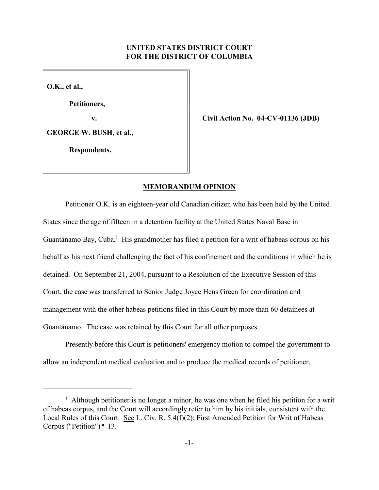## **UNITED STATES DISTRICT COURT FOR THE DISTRICT OF COLUMBIA**

**O.K., et al.,**

**Petitioners,**

**v. Civil Action No. 04-CV-01136 (JDB)**

**GEORGE W. BUSH, et al.,** 

 **Respondents.**

### **MEMORANDUM OPINION**

Petitioner O.K. is an eighteen-year old Canadian citizen who has been held by the United States since the age of fifteen in a detention facility at the United States Naval Base in Guantánamo Bay, Cuba. $<sup>1</sup>$  His grandmother has filed a petition for a writ of habeas corpus on his</sup> behalf as his next friend challenging the fact of his confinement and the conditions in which he is detained. On September 21, 2004, pursuant to a Resolution of the Executive Session of this Court, the case was transferred to Senior Judge Joyce Hens Green for coordination and management with the other habeas petitions filed in this Court by more than 60 detainees at Guantánamo. The case was retained by this Court for all other purposes.

Presently before this Court is petitioners' emergency motion to compel the government to allow an independent medical evaluation and to produce the medical records of petitioner.

<sup>&</sup>lt;sup>1</sup> Although petitioner is no longer a minor, he was one when he filed his petition for a writ of habeas corpus, and the Court will accordingly refer to him by his initials, consistent with the Local Rules of this Court. See L. Civ. R. 5.4(f)(2); First Amended Petition for Writ of Habeas Corpus ("Petition") ¶ 13.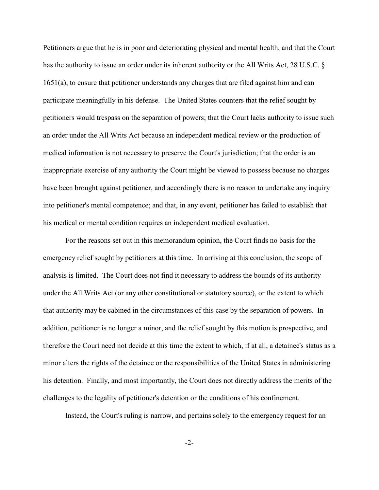Petitioners argue that he is in poor and deteriorating physical and mental health, and that the Court has the authority to issue an order under its inherent authority or the All Writs Act, 28 U.S.C. § 1651(a), to ensure that petitioner understands any charges that are filed against him and can participate meaningfully in his defense. The United States counters that the relief sought by petitioners would trespass on the separation of powers; that the Court lacks authority to issue such an order under the All Writs Act because an independent medical review or the production of medical information is not necessary to preserve the Court's jurisdiction; that the order is an inappropriate exercise of any authority the Court might be viewed to possess because no charges have been brought against petitioner, and accordingly there is no reason to undertake any inquiry into petitioner's mental competence; and that, in any event, petitioner has failed to establish that his medical or mental condition requires an independent medical evaluation.

For the reasons set out in this memorandum opinion, the Court finds no basis for the emergency relief sought by petitioners at this time. In arriving at this conclusion, the scope of analysis is limited. The Court does not find it necessary to address the bounds of its authority under the All Writs Act (or any other constitutional or statutory source), or the extent to which that authority may be cabined in the circumstances of this case by the separation of powers. In addition, petitioner is no longer a minor, and the relief sought by this motion is prospective, and therefore the Court need not decide at this time the extent to which, if at all, a detainee's status as a minor alters the rights of the detainee or the responsibilities of the United States in administering his detention. Finally, and most importantly, the Court does not directly address the merits of the challenges to the legality of petitioner's detention or the conditions of his confinement.

Instead, the Court's ruling is narrow, and pertains solely to the emergency request for an

-2-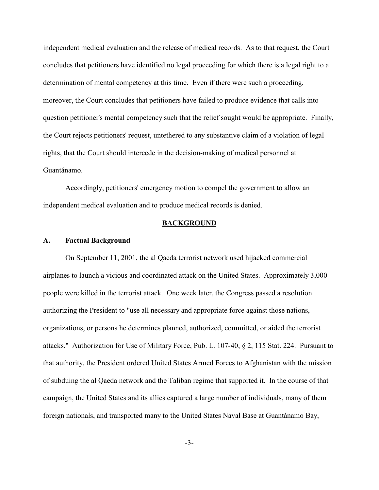independent medical evaluation and the release of medical records. As to that request, the Court concludes that petitioners have identified no legal proceeding for which there is a legal right to a determination of mental competency at this time. Even if there were such a proceeding, moreover, the Court concludes that petitioners have failed to produce evidence that calls into question petitioner's mental competency such that the relief sought would be appropriate. Finally, the Court rejects petitioners' request, untethered to any substantive claim of a violation of legal rights, that the Court should intercede in the decision-making of medical personnel at Guantánamo.

Accordingly, petitioners' emergency motion to compel the government to allow an independent medical evaluation and to produce medical records is denied.

### **BACKGROUND**

#### **A. Factual Background**

On September 11, 2001, the al Qaeda terrorist network used hijacked commercial airplanes to launch a vicious and coordinated attack on the United States. Approximately 3,000 people were killed in the terrorist attack. One week later, the Congress passed a resolution authorizing the President to "use all necessary and appropriate force against those nations, organizations, or persons he determines planned, authorized, committed, or aided the terrorist attacks." Authorization for Use of Military Force, Pub. L. 107-40, § 2, 115 Stat. 224. Pursuant to that authority, the President ordered United States Armed Forces to Afghanistan with the mission of subduing the al Qaeda network and the Taliban regime that supported it. In the course of that campaign, the United States and its allies captured a large number of individuals, many of them foreign nationals, and transported many to the United States Naval Base at Guantánamo Bay,

-3-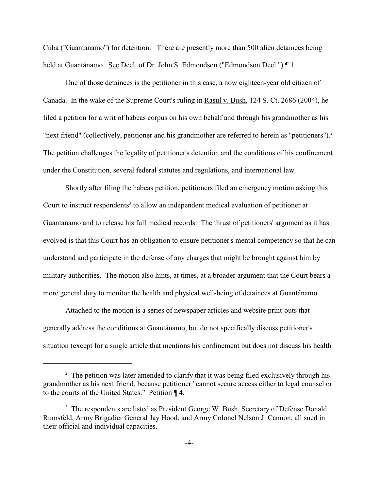Cuba ("Guantánamo") for detention. There are presently more than 500 alien detainees being held at Guantánamo. See Decl. of Dr. John S. Edmondson ("Edmondson Decl.") [1.

One of those detainees is the petitioner in this case, a now eighteen-year old citizen of Canada. In the wake of the Supreme Court's ruling in Rasul v. Bush, 124 S. Ct. 2686 (2004), he filed a petition for a writ of habeas corpus on his own behalf and through his grandmother as his "next friend" (collectively, petitioner and his grandmother are referred to herein as "petitioners").<sup>2</sup> The petition challenges the legality of petitioner's detention and the conditions of his confinement under the Constitution, several federal statutes and regulations, and international law.

Shortly after filing the habeas petition, petitioners filed an emergency motion asking this Court to instruct respondents<sup>3</sup> to allow an independent medical evaluation of petitioner at Guantánamo and to release his full medical records. The thrust of petitioners' argument as it has evolved is that this Court has an obligation to ensure petitioner's mental competency so that he can understand and participate in the defense of any charges that might be brought against him by military authorities. The motion also hints, at times, at a broader argument that the Court bears a more general duty to monitor the health and physical well-being of detainees at Guantánamo.

Attached to the motion is a series of newspaper articles and website print-outs that generally address the conditions at Guantánamo, but do not specifically discuss petitioner's situation (except for a single article that mentions his confinement but does not discuss his health

 $\frac{1}{2}$  The petition was later amended to clarify that it was being filed exclusively through his grandmother as his next friend, because petitioner "cannot secure access either to legal counsel or to the courts of the United States." Petition ¶ 4.

<sup>&</sup>lt;sup>3</sup> The respondents are listed as President George W. Bush, Secretary of Defense Donald Rumsfeld, Army Brigadier General Jay Hood, and Army Colonel Nelson J. Cannon, all sued in their official and individual capacities.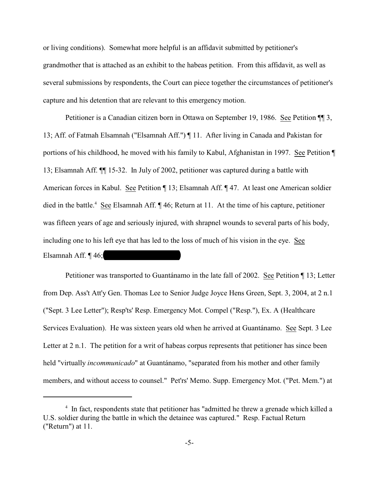or living conditions). Somewhat more helpful is an affidavit submitted by petitioner's grandmother that is attached as an exhibit to the habeas petition. From this affidavit, as well as several submissions by respondents, the Court can piece together the circumstances of petitioner's capture and his detention that are relevant to this emergency motion.

Petitioner is a Canadian citizen born in Ottawa on September 19, 1986. See Petition ¶¶ 3, 13; Aff. of Fatmah Elsamnah ("Elsamnah Aff.") ¶ 11. After living in Canada and Pakistan for portions of his childhood, he moved with his family to Kabul, Afghanistan in 1997. See Petition ¶ 13; Elsamnah Aff. ¶¶ 15-32. In July of 2002, petitioner was captured during a battle with American forces in Kabul. See Petition ¶ 13; Elsamnah Aff. ¶ 47. At least one American soldier died in the battle.<sup>4</sup> See Elsamnah Aff.  $\P$  46; Return at 11. At the time of his capture, petitioner was fifteen years of age and seriously injured, with shrapnel wounds to several parts of his body, including one to his left eye that has led to the loss of much of his vision in the eye. See Elsamnah Aff.  $\P$  46;

Petitioner was transported to Guantánamo in the late fall of 2002. See Petition ¶ 13; Letter from Dep. Ass't Att'y Gen. Thomas Lee to Senior Judge Joyce Hens Green, Sept. 3, 2004, at 2 n.1 ("Sept. 3 Lee Letter"); Resp'ts' Resp. Emergency Mot. Compel ("Resp."), Ex. A (Healthcare Services Evaluation). He was sixteen years old when he arrived at Guantánamo. See Sept. 3 Lee Letter at 2 n.1. The petition for a writ of habeas corpus represents that petitioner has since been held "virtually *incommunicado*" at Guantánamo, "separated from his mother and other family members, and without access to counsel." Pet'rs' Memo. Supp. Emergency Mot. ("Pet. Mem.") at

 $\frac{4}{1}$  In fact, respondents state that petitioner has "admitted he threw a grenade which killed a U.S. soldier during the battle in which the detainee was captured." Resp. Factual Return ("Return") at 11.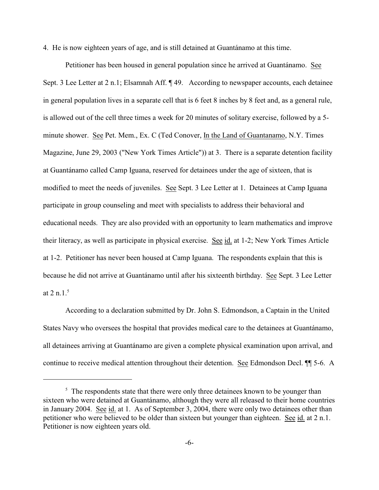4. He is now eighteen years of age, and is still detained at Guantánamo at this time.

Petitioner has been housed in general population since he arrived at Guantánamo. See Sept. 3 Lee Letter at 2 n.1; Elsamnah Aff. ¶ 49. According to newspaper accounts, each detainee in general population lives in a separate cell that is 6 feet 8 inches by 8 feet and, as a general rule, is allowed out of the cell three times a week for 20 minutes of solitary exercise, followed by a 5 minute shower. See Pet. Mem., Ex. C (Ted Conover, In the Land of Guantanamo, N.Y. Times Magazine, June 29, 2003 ("New York Times Article")) at 3. There is a separate detention facility at Guantánamo called Camp Iguana, reserved for detainees under the age of sixteen, that is modified to meet the needs of juveniles. See Sept. 3 Lee Letter at 1. Detainees at Camp Iguana participate in group counseling and meet with specialists to address their behavioral and educational needs. They are also provided with an opportunity to learn mathematics and improve their literacy, as well as participate in physical exercise. See id. at 1-2; New York Times Article at 1-2. Petitioner has never been housed at Camp Iguana. The respondents explain that this is because he did not arrive at Guantánamo until after his sixteenth birthday. See Sept. 3 Lee Letter at 2 n.1. $5$ 

According to a declaration submitted by Dr. John S. Edmondson, a Captain in the United States Navy who oversees the hospital that provides medical care to the detainees at Guantánamo, all detainees arriving at Guantánamo are given a complete physical examination upon arrival, and continue to receive medical attention throughout their detention. See Edmondson Decl. ¶¶ 5-6. A

 $5$  The respondents state that there were only three detainees known to be younger than sixteen who were detained at Guantánamo, although they were all released to their home countries in January 2004. See id. at 1. As of September 3, 2004, there were only two detainees other than petitioner who were believed to be older than sixteen but younger than eighteen. See id. at 2 n.1. Petitioner is now eighteen years old.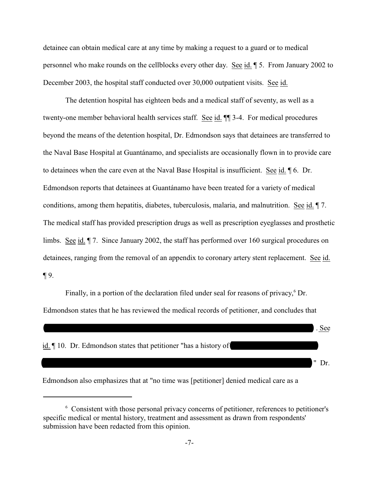detainee can obtain medical care at any time by making a request to a guard or to medical personnel who make rounds on the cellblocks every other day. See id. ¶ 5. From January 2002 to December 2003, the hospital staff conducted over 30,000 outpatient visits. See id.

The detention hospital has eighteen beds and a medical staff of seventy, as well as a twenty-one member behavioral health services staff. See id.  $\P$  3-4. For medical procedures beyond the means of the detention hospital, Dr. Edmondson says that detainees are transferred to the Naval Base Hospital at Guantánamo, and specialists are occasionally flown in to provide care to detainees when the care even at the Naval Base Hospital is insufficient. See id. ¶ 6. Dr. Edmondson reports that detainees at Guantánamo have been treated for a variety of medical conditions, among them hepatitis, diabetes, tuberculosis, malaria, and malnutrition. See id. ¶ 7. The medical staff has provided prescription drugs as well as prescription eyeglasses and prosthetic limbs. See id. ¶ 7. Since January 2002, the staff has performed over 160 surgical procedures on detainees, ranging from the removal of an appendix to coronary artery stent replacement. See id.  $\P$  9.

Finally, in a portion of the declaration filed under seal for reasons of privacy,<sup>6</sup> Dr. Edmondson states that he has reviewed the medical records of petitioner, and concludes that



Edmondson also emphasizes that at "no time was [petitioner] denied medical care as a

<sup>&</sup>lt;sup>6</sup> Consistent with those personal privacy concerns of petitioner, references to petitioner's specific medical or mental history, treatment and assessment as drawn from respondents' submission have been redacted from this opinion.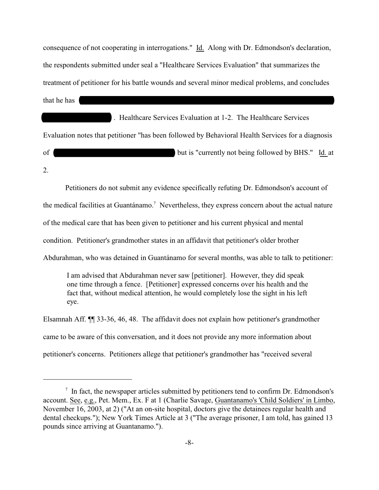consequence of not cooperating in interrogations." Id. Along with Dr. Edmondson's declaration, the respondents submitted under seal a "Healthcare Services Evaluation" that summarizes the treatment of petitioner for his battle wounds and several minor medical problems, and concludes that he has  $\blacksquare$ 

\_\_\_\_\_\_\_\_\_\_\_\_\_\_\_\_\_\_ . Healthcare Services Evaluation at 1-2. The Healthcare Services Evaluation notes that petitioner "has been followed by Behavioral Health Services for a diagnosis of dutis "currently not being followed by BHS." Id. at 2.

Petitioners do not submit any evidence specifically refuting Dr. Edmondson's account of

the medical facilities at Guantánamo.<sup>7</sup> Nevertheless, they express concern about the actual nature

of the medical care that has been given to petitioner and his current physical and mental

condition. Petitioner's grandmother states in an affidavit that petitioner's older brother

Abdurahman, who was detained in Guantánamo for several months, was able to talk to petitioner:

I am advised that Abdurahman never saw [petitioner]. However, they did speak one time through a fence. [Petitioner] expressed concerns over his health and the fact that, without medical attention, he would completely lose the sight in his left eye.

Elsamnah Aff. ¶¶ 33-36, 46, 48. The affidavit does not explain how petitioner's grandmother came to be aware of this conversation, and it does not provide any more information about petitioner's concerns. Petitioners allege that petitioner's grandmother has "received several

 $\frac{1}{1}$  In fact, the newspaper articles submitted by petitioners tend to confirm Dr. Edmondson's account. See, e.g., Pet. Mem., Ex. F at 1 (Charlie Savage, Guantanamo's 'Child Soldiers' in Limbo, November 16, 2003, at 2) ("At an on-site hospital, doctors give the detainees regular health and dental checkups."); New York Times Article at 3 ("The average prisoner, I am told, has gained 13 pounds since arriving at Guantanamo.").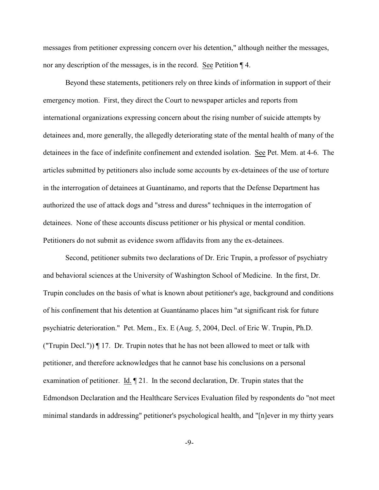messages from petitioner expressing concern over his detention," although neither the messages, nor any description of the messages, is in the record. See Petition ¶ 4.

Beyond these statements, petitioners rely on three kinds of information in support of their emergency motion. First, they direct the Court to newspaper articles and reports from international organizations expressing concern about the rising number of suicide attempts by detainees and, more generally, the allegedly deteriorating state of the mental health of many of the detainees in the face of indefinite confinement and extended isolation. See Pet. Mem. at 4-6. The articles submitted by petitioners also include some accounts by ex-detainees of the use of torture in the interrogation of detainees at Guantánamo, and reports that the Defense Department has authorized the use of attack dogs and "stress and duress" techniques in the interrogation of detainees. None of these accounts discuss petitioner or his physical or mental condition. Petitioners do not submit as evidence sworn affidavits from any the ex-detainees.

Second, petitioner submits two declarations of Dr. Eric Trupin, a professor of psychiatry and behavioral sciences at the University of Washington School of Medicine. In the first, Dr. Trupin concludes on the basis of what is known about petitioner's age, background and conditions of his confinement that his detention at Guantánamo places him "at significant risk for future psychiatric deterioration." Pet. Mem., Ex. E (Aug. 5, 2004, Decl. of Eric W. Trupin, Ph.D. ("Trupin Decl.")) ¶ 17. Dr. Trupin notes that he has not been allowed to meet or talk with petitioner, and therefore acknowledges that he cannot base his conclusions on a personal examination of petitioner. Id. ¶ 21. In the second declaration, Dr. Trupin states that the Edmondson Declaration and the Healthcare Services Evaluation filed by respondents do "not meet minimal standards in addressing" petitioner's psychological health, and "[n]ever in my thirty years

-9-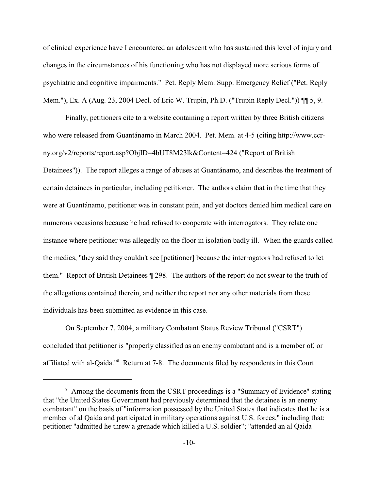of clinical experience have I encountered an adolescent who has sustained this level of injury and changes in the circumstances of his functioning who has not displayed more serious forms of psychiatric and cognitive impairments." Pet. Reply Mem. Supp. Emergency Relief ("Pet. Reply Mem."), Ex. A (Aug. 23, 2004 Decl. of Eric W. Trupin, Ph.D. ("Trupin Reply Decl.")) ¶¶ 5, 9.

Finally, petitioners cite to a website containing a report written by three British citizens who were released from Guantánamo in March 2004. Pet. Mem. at 4-5 (citing http://www.ccrny.org/v2/reports/report.asp?ObjID=4bUT8M23lk&Content=424 ("Report of British Detainees")). The report alleges a range of abuses at Guantánamo, and describes the treatment of certain detainees in particular, including petitioner. The authors claim that in the time that they were at Guantánamo, petitioner was in constant pain, and yet doctors denied him medical care on numerous occasions because he had refused to cooperate with interrogators. They relate one instance where petitioner was allegedly on the floor in isolation badly ill. When the guards called the medics, "they said they couldn't see [petitioner] because the interrogators had refused to let them." Report of British Detainees ¶ 298. The authors of the report do not swear to the truth of the allegations contained therein, and neither the report nor any other materials from these individuals has been submitted as evidence in this case.

On September 7, 2004, a military Combatant Status Review Tribunal ("CSRT") concluded that petitioner is "properly classified as an enemy combatant and is a member of, or affiliated with al-Qaida."<sup>8</sup> Return at 7-8. The documents filed by respondents in this Court

<sup>&</sup>lt;sup>8</sup> Among the documents from the CSRT proceedings is a "Summary of Evidence" stating that "the United States Government had previously determined that the detainee is an enemy combatant" on the basis of "information possessed by the United States that indicates that he is a member of al Qaida and participated in military operations against U.S. forces," including that: petitioner "admitted he threw a grenade which killed a U.S. soldier"; "attended an al Qaida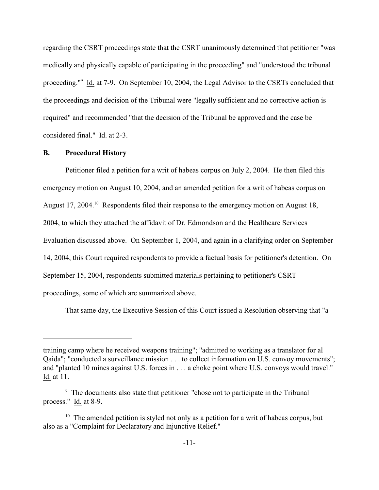regarding the CSRT proceedings state that the CSRT unanimously determined that petitioner "was medically and physically capable of participating in the proceeding" and "understood the tribunal proceeding."<sup>9</sup> Id. at 7-9. On September 10, 2004, the Legal Advisor to the CSRTs concluded that the proceedings and decision of the Tribunal were "legally sufficient and no corrective action is required" and recommended "that the decision of the Tribunal be approved and the case be considered final." Id. at 2-3.

### **B. Procedural History**

Petitioner filed a petition for a writ of habeas corpus on July 2, 2004. He then filed this emergency motion on August 10, 2004, and an amended petition for a writ of habeas corpus on August 17, 2004.<sup>10</sup> Respondents filed their response to the emergency motion on August 18, 2004, to which they attached the affidavit of Dr. Edmondson and the Healthcare Services Evaluation discussed above. On September 1, 2004, and again in a clarifying order on September 14, 2004, this Court required respondents to provide a factual basis for petitioner's detention. On September 15, 2004, respondents submitted materials pertaining to petitioner's CSRT proceedings, some of which are summarized above.

That same day, the Executive Session of this Court issued a Resolution observing that "a

training camp where he received weapons training"; "admitted to working as a translator for al Qaida"; "conducted a surveillance mission . . . to collect information on U.S. convoy movements"; and "planted 10 mines against U.S. forces in . . . a choke point where U.S. convoys would travel." Id. at 11.

<sup>&</sup>lt;sup>9</sup> The documents also state that petitioner "chose not to participate in the Tribunal process."  $\underline{Id}$  at 8-9.

 $10$  The amended petition is styled not only as a petition for a writ of habeas corpus, but also as a "Complaint for Declaratory and Injunctive Relief."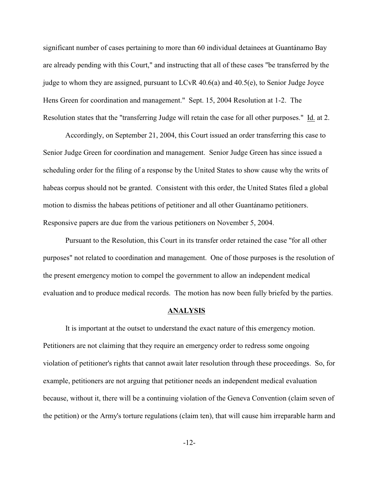significant number of cases pertaining to more than 60 individual detainees at Guantánamo Bay are already pending with this Court," and instructing that all of these cases "be transferred by the judge to whom they are assigned, pursuant to LCvR 40.6(a) and 40.5(e), to Senior Judge Joyce Hens Green for coordination and management." Sept. 15, 2004 Resolution at 1-2. The Resolution states that the "transferring Judge will retain the case for all other purposes." Id. at 2.

Accordingly, on September 21, 2004, this Court issued an order transferring this case to Senior Judge Green for coordination and management. Senior Judge Green has since issued a scheduling order for the filing of a response by the United States to show cause why the writs of habeas corpus should not be granted. Consistent with this order, the United States filed a global motion to dismiss the habeas petitions of petitioner and all other Guantánamo petitioners. Responsive papers are due from the various petitioners on November 5, 2004.

Pursuant to the Resolution, this Court in its transfer order retained the case "for all other purposes" not related to coordination and management. One of those purposes is the resolution of the present emergency motion to compel the government to allow an independent medical evaluation and to produce medical records. The motion has now been fully briefed by the parties.

### **ANALYSIS**

It is important at the outset to understand the exact nature of this emergency motion. Petitioners are not claiming that they require an emergency order to redress some ongoing violation of petitioner's rights that cannot await later resolution through these proceedings. So, for example, petitioners are not arguing that petitioner needs an independent medical evaluation because, without it, there will be a continuing violation of the Geneva Convention (claim seven of the petition) or the Army's torture regulations (claim ten), that will cause him irreparable harm and

-12-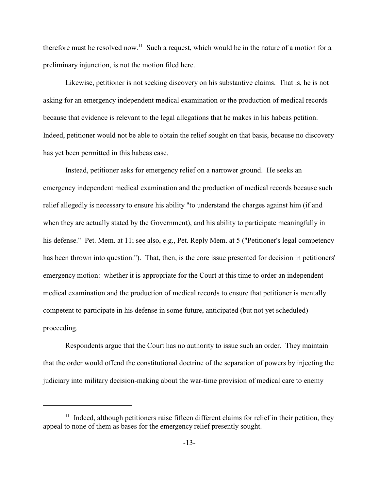therefore must be resolved now.<sup>11</sup> Such a request, which would be in the nature of a motion for a preliminary injunction, is not the motion filed here.

Likewise, petitioner is not seeking discovery on his substantive claims. That is, he is not asking for an emergency independent medical examination or the production of medical records because that evidence is relevant to the legal allegations that he makes in his habeas petition. Indeed, petitioner would not be able to obtain the relief sought on that basis, because no discovery has yet been permitted in this habeas case.

Instead, petitioner asks for emergency relief on a narrower ground. He seeks an emergency independent medical examination and the production of medical records because such relief allegedly is necessary to ensure his ability "to understand the charges against him (if and when they are actually stated by the Government), and his ability to participate meaningfully in his defense." Pet. Mem. at 11; see also, e.g., Pet. Reply Mem. at 5 ("Petitioner's legal competency has been thrown into question."). That, then, is the core issue presented for decision in petitioners' emergency motion: whether it is appropriate for the Court at this time to order an independent medical examination and the production of medical records to ensure that petitioner is mentally competent to participate in his defense in some future, anticipated (but not yet scheduled) proceeding.

Respondents argue that the Court has no authority to issue such an order. They maintain that the order would offend the constitutional doctrine of the separation of powers by injecting the judiciary into military decision-making about the war-time provision of medical care to enemy

 $11$  Indeed, although petitioners raise fifteen different claims for relief in their petition, they appeal to none of them as bases for the emergency relief presently sought.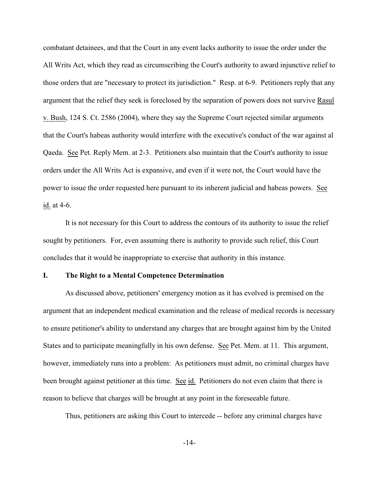combatant detainees, and that the Court in any event lacks authority to issue the order under the All Writs Act, which they read as circumscribing the Court's authority to award injunctive relief to those orders that are "necessary to protect its jurisdiction." Resp. at 6-9. Petitioners reply that any argument that the relief they seek is foreclosed by the separation of powers does not survive Rasul v. Bush, 124 S. Ct. 2586 (2004), where they say the Supreme Court rejected similar arguments that the Court's habeas authority would interfere with the executive's conduct of the war against al Qaeda. See Pet. Reply Mem. at 2-3. Petitioners also maintain that the Court's authority to issue orders under the All Writs Act is expansive, and even if it were not, the Court would have the power to issue the order requested here pursuant to its inherent judicial and habeas powers. See id. at 4-6.

It is not necessary for this Court to address the contours of its authority to issue the relief sought by petitioners. For, even assuming there is authority to provide such relief, this Court concludes that it would be inappropriate to exercise that authority in this instance.

## **I. The Right to a Mental Competence Determination**

As discussed above, petitioners' emergency motion as it has evolved is premised on the argument that an independent medical examination and the release of medical records is necessary to ensure petitioner's ability to understand any charges that are brought against him by the United States and to participate meaningfully in his own defense. See Pet. Mem. at 11. This argument, however, immediately runs into a problem: As petitioners must admit, no criminal charges have been brought against petitioner at this time. See id. Petitioners do not even claim that there is reason to believe that charges will be brought at any point in the foreseeable future.

Thus, petitioners are asking this Court to intercede -- before any criminal charges have

-14-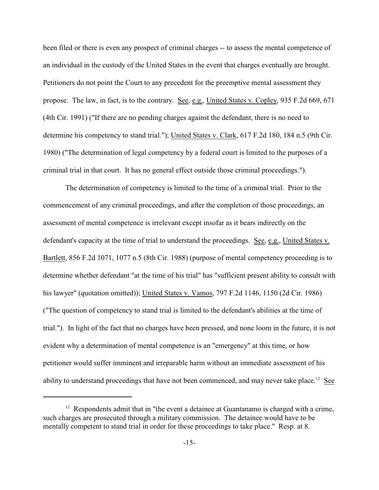been filed or there is even any prospect of criminal charges -- to assess the mental competence of an individual in the custody of the United States in the event that charges eventually are brought. Petitioners do not point the Court to any precedent for the preemptive mental assessment they propose. The law, in fact, is to the contrary. See, e.g., United States v. Copley, 935 F.2d 669, 671 (4th Cir. 1991) ("If there are no pending charges against the defendant, there is no need to determine his competency to stand trial."); United States v. Clark, 617 F.2d 180, 184 n.5 (9th Cir. 1980) ("The determination of legal competency by a federal court is limited to the purposes of a criminal trial in that court. It has no general effect outside those criminal proceedings.").

The determination of competency is limited to the time of a criminal trial. Prior to the commencement of any criminal proceedings, and after the completion of those proceedings, an assessment of mental competence is irrelevant except insofar as it bears indirectly on the defendant's capacity at the time of trial to understand the proceedings. See, e.g., United States v. Bartlett, 856 F.2d 1071, 1077 n.5 (8th Cir. 1988) (purpose of mental competency proceeding is to determine whether defendant "at the time of his trial" has "sufficient present ability to consult with his lawyer" (quotation omitted)); United States v. Vamos, 797 F.2d 1146, 1150 (2d Cir. 1986) ("The question of competency to stand trial is limited to the defendant's abilities at the time of trial."). In light of the fact that no charges have been pressed, and none loom in the future, it is not evident why a determination of mental competence is an "emergency" at this time, or how petitioner would suffer imminent and irreparable harm without an immediate assessment of his ability to understand proceedings that have not been commenced, and may never take place.<sup>12</sup> See

 $12$  Respondents admit that in "the event a detainee at Guantanamo is charged with a crime, such charges are prosecuted through a military commission. The detainee would have to be mentally competent to stand trial in order for these proceedings to take place." Resp. at 8.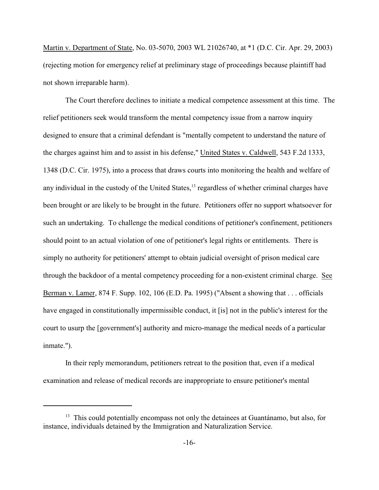Martin v. Department of State, No. 03-5070, 2003 WL 21026740, at \*1 (D.C. Cir. Apr. 29, 2003) (rejecting motion for emergency relief at preliminary stage of proceedings because plaintiff had not shown irreparable harm).

The Court therefore declines to initiate a medical competence assessment at this time. The relief petitioners seek would transform the mental competency issue from a narrow inquiry designed to ensure that a criminal defendant is "mentally competent to understand the nature of the charges against him and to assist in his defense," United States v. Caldwell, 543 F.2d 1333, 1348 (D.C. Cir. 1975), into a process that draws courts into monitoring the health and welfare of any individual in the custody of the United States, $<sup>13</sup>$  regardless of whether criminal charges have</sup> been brought or are likely to be brought in the future. Petitioners offer no support whatsoever for such an undertaking. To challenge the medical conditions of petitioner's confinement, petitioners should point to an actual violation of one of petitioner's legal rights or entitlements. There is simply no authority for petitioners' attempt to obtain judicial oversight of prison medical care through the backdoor of a mental competency proceeding for a non-existent criminal charge. See Berman v. Lamer, 874 F. Supp. 102, 106 (E.D. Pa. 1995) ("Absent a showing that . . . officials have engaged in constitutionally impermissible conduct, it [is] not in the public's interest for the court to usurp the [government's] authority and micro-manage the medical needs of a particular inmate.").

In their reply memorandum, petitioners retreat to the position that, even if a medical examination and release of medical records are inappropriate to ensure petitioner's mental

 $13$  This could potentially encompass not only the detainees at Guantánamo, but also, for instance, individuals detained by the Immigration and Naturalization Service.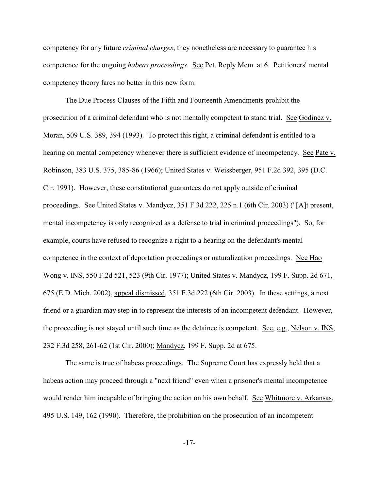competency for any future *criminal charges*, they nonetheless are necessary to guarantee his competence for the ongoing *habeas proceedings*. See Pet. Reply Mem. at 6. Petitioners' mental competency theory fares no better in this new form.

The Due Process Clauses of the Fifth and Fourteenth Amendments prohibit the prosecution of a criminal defendant who is not mentally competent to stand trial. See Godinez v. Moran, 509 U.S. 389, 394 (1993). To protect this right, a criminal defendant is entitled to a hearing on mental competency whenever there is sufficient evidence of incompetency. See Pate v. Robinson, 383 U.S. 375, 385-86 (1966); United States v. Weissberger, 951 F.2d 392, 395 (D.C. Cir. 1991). However, these constitutional guarantees do not apply outside of criminal proceedings. See United States v. Mandycz, 351 F.3d 222, 225 n.1 (6th Cir. 2003) ("[A]t present, mental incompetency is only recognized as a defense to trial in criminal proceedings"). So, for example, courts have refused to recognize a right to a hearing on the defendant's mental competence in the context of deportation proceedings or naturalization proceedings. Nee Hao Wong v. INS, 550 F.2d 521, 523 (9th Cir. 1977); United States v. Mandycz, 199 F. Supp. 2d 671, 675 (E.D. Mich. 2002), appeal dismissed, 351 F.3d 222 (6th Cir. 2003). In these settings, a next friend or a guardian may step in to represent the interests of an incompetent defendant. However, the proceeding is not stayed until such time as the detainee is competent. See, e.g., Nelson v. INS, 232 F.3d 258, 261-62 (1st Cir. 2000); Mandycz, 199 F. Supp. 2d at 675.

The same is true of habeas proceedings. The Supreme Court has expressly held that a habeas action may proceed through a "next friend" even when a prisoner's mental incompetence would render him incapable of bringing the action on his own behalf. See Whitmore v. Arkansas, 495 U.S. 149, 162 (1990). Therefore, the prohibition on the prosecution of an incompetent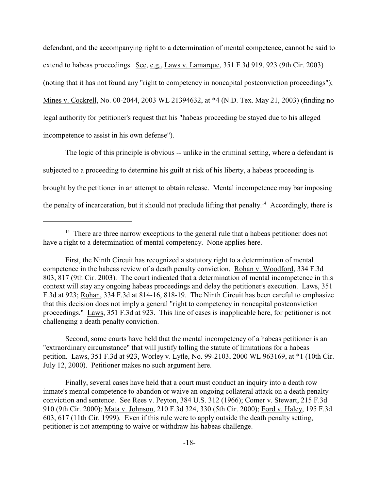defendant, and the accompanying right to a determination of mental competence, cannot be said to extend to habeas proceedings. See, e.g., Laws v. Lamarque, 351 F.3d 919, 923 (9th Cir. 2003) (noting that it has not found any "right to competency in noncapital postconviction proceedings"); Mines v. Cockrell, No. 00-2044, 2003 WL 21394632, at \*4 (N.D. Tex. May 21, 2003) (finding no legal authority for petitioner's request that his "habeas proceeding be stayed due to his alleged incompetence to assist in his own defense").

The logic of this principle is obvious -- unlike in the criminal setting, where a defendant is subjected to a proceeding to determine his guilt at risk of his liberty, a habeas proceeding is brought by the petitioner in an attempt to obtain release. Mental incompetence may bar imposing the penalty of incarceration, but it should not preclude lifting that penalty.<sup>14</sup> Accordingly, there is

Second, some courts have held that the mental incompetency of a habeas petitioner is an "extraordinary circumstance" that will justify tolling the statute of limitations for a habeas petition. Laws, 351 F.3d at 923, Worley v. Lytle, No. 99-2103, 2000 WL 963169, at \*1 (10th Cir. July 12, 2000). Petitioner makes no such argument here.

Finally, several cases have held that a court must conduct an inquiry into a death row inmate's mental competence to abandon or waive an ongoing collateral attack on a death penalty conviction and sentence. See Rees v. Peyton, 384 U.S. 312 (1966); Comer v. Stewart, 215 F.3d 910 (9th Cir. 2000); Mata v. Johnson, 210 F.3d 324, 330 (5th Cir. 2000); Ford v. Haley, 195 F.3d 603, 617 (11th Cir. 1999). Even if this rule were to apply outside the death penalty setting, petitioner is not attempting to waive or withdraw his habeas challenge.

 $14$  There are three narrow exceptions to the general rule that a habeas petitioner does not have a right to a determination of mental competency. None applies here.

First, the Ninth Circuit has recognized a statutory right to a determination of mental competence in the habeas review of a death penalty conviction. Rohan v. Woodford, 334 F.3d 803, 817 (9th Cir. 2003). The court indicated that a determination of mental incompetence in this context will stay any ongoing habeas proceedings and delay the petitioner's execution. Laws, 351 F.3d at 923; Rohan, 334 F.3d at 814-16, 818-19. The Ninth Circuit has been careful to emphasize that this decision does not imply a general "right to competency in noncapital postconviction proceedings." Laws, 351 F.3d at 923. This line of cases is inapplicable here, for petitioner is not challenging a death penalty conviction.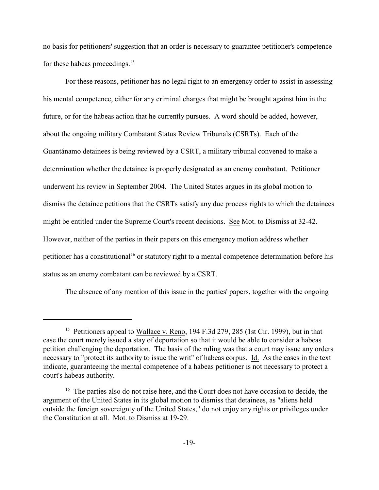no basis for petitioners' suggestion that an order is necessary to guarantee petitioner's competence for these habeas proceedings.<sup>15</sup>

 For these reasons, petitioner has no legal right to an emergency order to assist in assessing his mental competence, either for any criminal charges that might be brought against him in the future, or for the habeas action that he currently pursues. A word should be added, however, about the ongoing military Combatant Status Review Tribunals (CSRTs). Each of the Guantánamo detainees is being reviewed by a CSRT, a military tribunal convened to make a determination whether the detainee is properly designated as an enemy combatant. Petitioner underwent his review in September 2004. The United States argues in its global motion to dismiss the detainee petitions that the CSRTs satisfy any due process rights to which the detainees might be entitled under the Supreme Court's recent decisions. See Mot. to Dismiss at 32-42. However, neither of the parties in their papers on this emergency motion address whether petitioner has a constitutional<sup>16</sup> or statutory right to a mental competence determination before his status as an enemy combatant can be reviewed by a CSRT.

The absence of any mention of this issue in the parties' papers, together with the ongoing

<sup>&</sup>lt;sup>15</sup> Petitioners appeal to Wallace v. Reno, 194 F.3d 279, 285 (1st Cir. 1999), but in that case the court merely issued a stay of deportation so that it would be able to consider a habeas petition challenging the deportation. The basis of the ruling was that a court may issue any orders necessary to "protect its authority to issue the writ" of habeas corpus. Id. As the cases in the text indicate, guaranteeing the mental competence of a habeas petitioner is not necessary to protect a court's habeas authority.

 $16$  The parties also do not raise here, and the Court does not have occasion to decide, the argument of the United States in its global motion to dismiss that detainees, as "aliens held outside the foreign sovereignty of the United States," do not enjoy any rights or privileges under the Constitution at all. Mot. to Dismiss at 19-29.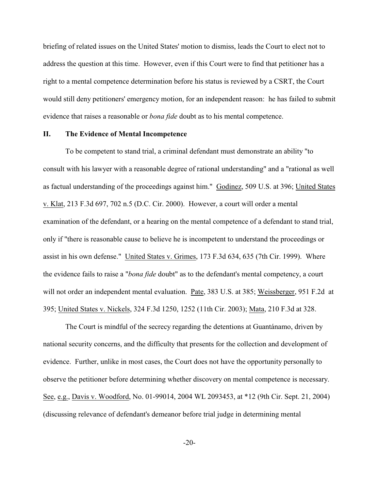briefing of related issues on the United States' motion to dismiss, leads the Court to elect not to address the question at this time. However, even if this Court were to find that petitioner has a right to a mental competence determination before his status is reviewed by a CSRT, the Court would still deny petitioners' emergency motion, for an independent reason: he has failed to submit evidence that raises a reasonable or *bona fide* doubt as to his mental competence.

### **II. The Evidence of Mental Incompetence**

To be competent to stand trial, a criminal defendant must demonstrate an ability "to consult with his lawyer with a reasonable degree of rational understanding" and a "rational as well as factual understanding of the proceedings against him." Godinez, 509 U.S. at 396; United States v. Klat, 213 F.3d 697, 702 n.5 (D.C. Cir. 2000). However, a court will order a mental examination of the defendant, or a hearing on the mental competence of a defendant to stand trial, only if "there is reasonable cause to believe he is incompetent to understand the proceedings or assist in his own defense." United States v. Grimes, 173 F.3d 634, 635 (7th Cir. 1999). Where the evidence fails to raise a "*bona fide* doubt" as to the defendant's mental competency, a court will not order an independent mental evaluation. Pate, 383 U.S. at 385; Weissberger, 951 F.2d at 395; United States v. Nickels, 324 F.3d 1250, 1252 (11th Cir. 2003); Mata, 210 F.3d at 328.

The Court is mindful of the secrecy regarding the detentions at Guantánamo, driven by national security concerns, and the difficulty that presents for the collection and development of evidence. Further, unlike in most cases, the Court does not have the opportunity personally to observe the petitioner before determining whether discovery on mental competence is necessary. See, e.g., Davis v. Woodford, No. 01-99014, 2004 WL 2093453, at \*12 (9th Cir. Sept. 21, 2004) (discussing relevance of defendant's demeanor before trial judge in determining mental

-20-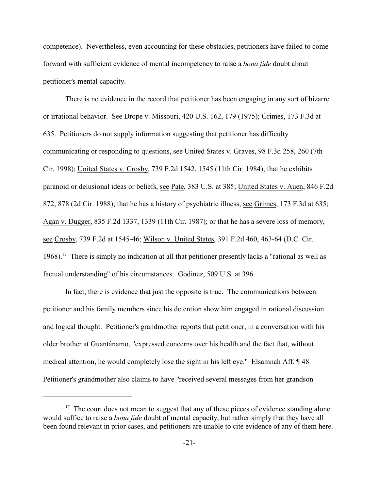competence). Nevertheless, even accounting for these obstacles, petitioners have failed to come forward with sufficient evidence of mental incompetency to raise a *bona fide* doubt about petitioner's mental capacity.

There is no evidence in the record that petitioner has been engaging in any sort of bizarre or irrational behavior. See Drope v. Missouri, 420 U.S. 162, 179 (1975); Grimes, 173 F.3d at 635. Petitioners do not supply information suggesting that petitioner has difficulty communicating or responding to questions, see United States v. Graves, 98 F.3d 258, 260 (7th Cir. 1998); United States v. Crosby, 739 F.2d 1542, 1545 (11th Cir. 1984); that he exhibits paranoid or delusional ideas or beliefs, see Pate, 383 U.S. at 385; United States v. Auen, 846 F.2d 872, 878 (2d Cir. 1988); that he has a history of psychiatric illness, see Grimes, 173 F.3d at 635; Agan v. Dugger, 835 F.2d 1337, 1339 (11th Cir. 1987); or that he has a severe loss of memory, see Crosby, 739 F.2d at 1545-46; Wilson v. United States, 391 F.2d 460, 463-64 (D.C. Cir. 1968).<sup>17</sup> There is simply no indication at all that petitioner presently lacks a "rational as well as factual understanding" of his circumstances. Godinez, 509 U.S. at 396.

In fact, there is evidence that just the opposite is true. The communications between petitioner and his family members since his detention show him engaged in rational discussion and logical thought. Petitioner's grandmother reports that petitioner, in a conversation with his older brother at Guantánamo, "expressed concerns over his health and the fact that, without medical attention, he would completely lose the sight in his left eye." Elsamnah Aff. ¶ 48. Petitioner's grandmother also claims to have "received several messages from her grandson

 $17$  The court does not mean to suggest that any of these pieces of evidence standing alone would suffice to raise a *bona fide* doubt of mental capacity, but rather simply that they have all been found relevant in prior cases, and petitioners are unable to cite evidence of any of them here.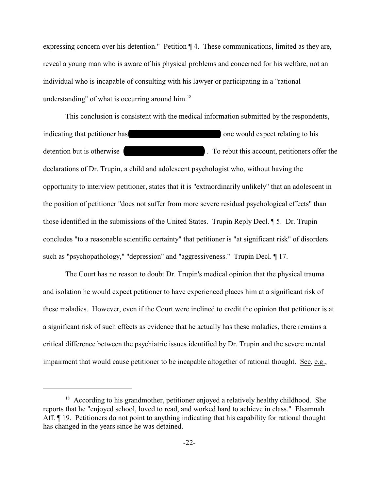expressing concern over his detention." Petition ¶ 4. These communications, limited as they are, reveal a young man who is aware of his physical problems and concerned for his welfare, not an individual who is incapable of consulting with his lawyer or participating in a "rational understanding" of what is occurring around him. 18

This conclusion is consistent with the medical information submitted by the respondents, indicating that petitioner has  $\Box$  one would expect relating to his detention but is otherwise **Example 2.** To rebut this account, petitioners offer the declarations of Dr. Trupin, a child and adolescent psychologist who, without having the opportunity to interview petitioner, states that it is "extraordinarily unlikely" that an adolescent in the position of petitioner "does not suffer from more severe residual psychological effects" than those identified in the submissions of the United States. Trupin Reply Decl. ¶ 5. Dr. Trupin concludes "to a reasonable scientific certainty" that petitioner is "at significant risk" of disorders such as "psychopathology," "depression" and "aggressiveness." Trupin Decl. ¶ 17.

The Court has no reason to doubt Dr. Trupin's medical opinion that the physical trauma and isolation he would expect petitioner to have experienced places him at a significant risk of these maladies. However, even if the Court were inclined to credit the opinion that petitioner is at a significant risk of such effects as evidence that he actually has these maladies, there remains a critical difference between the psychiatric issues identified by Dr. Trupin and the severe mental impairment that would cause petitioner to be incapable altogether of rational thought. See, e.g.,

 $18$  According to his grandmother, petitioner enjoyed a relatively healthy childhood. She reports that he "enjoyed school, loved to read, and worked hard to achieve in class." Elsamnah Aff. <sup>¶</sup> 19. Petitioners do not point to anything indicating that his capability for rational thought has changed in the years since he was detained.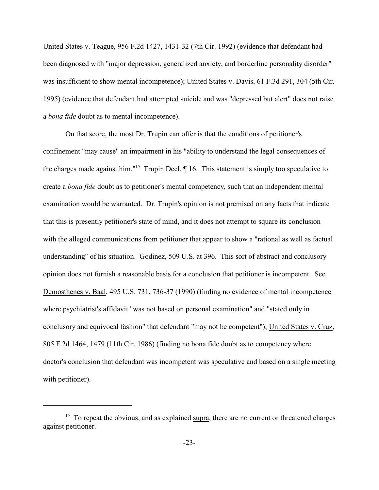United States v. Teague, 956 F.2d 1427, 1431-32 (7th Cir. 1992) (evidence that defendant had been diagnosed with "major depression, generalized anxiety, and borderline personality disorder" was insufficient to show mental incompetence); United States v. Davis, 61 F.3d 291, 304 (5th Cir. 1995) (evidence that defendant had attempted suicide and was "depressed but alert" does not raise a *bona fide* doubt as to mental incompetence).

On that score, the most Dr. Trupin can offer is that the conditions of petitioner's confinement "may cause" an impairment in his "ability to understand the legal consequences of the charges made against him."<sup>19</sup> Trupin Decl.  $\P$  16. This statement is simply too speculative to create a *bona fide* doubt as to petitioner's mental competency, such that an independent mental examination would be warranted. Dr. Trupin's opinion is not premised on any facts that indicate that this is presently petitioner's state of mind, and it does not attempt to square its conclusion with the alleged communications from petitioner that appear to show a "rational as well as factual understanding" of his situation. Godinez, 509 U.S. at 396. This sort of abstract and conclusory opinion does not furnish a reasonable basis for a conclusion that petitioner is incompetent. See Demosthenes v. Baal, 495 U.S. 731, 736-37 (1990) (finding no evidence of mental incompetence where psychiatrist's affidavit "was not based on personal examination" and "stated only in conclusory and equivocal fashion" that defendant "may not be competent"); United States v. Cruz, 805 F.2d 1464, 1479 (11th Cir. 1986) (finding no bona fide doubt as to competency where doctor's conclusion that defendant was incompetent was speculative and based on a single meeting with petitioner).

<sup>&</sup>lt;sup>19</sup> To repeat the obvious, and as explained supra, there are no current or threatened charges against petitioner.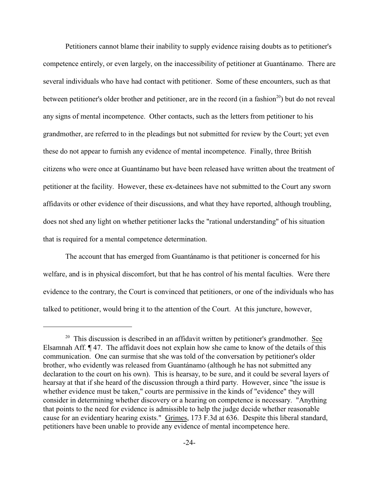Petitioners cannot blame their inability to supply evidence raising doubts as to petitioner's competence entirely, or even largely, on the inaccessibility of petitioner at Guantánamo. There are several individuals who have had contact with petitioner. Some of these encounters, such as that between petitioner's older brother and petitioner, are in the record (in a fashion $20$ ) but do not reveal any signs of mental incompetence. Other contacts, such as the letters from petitioner to his grandmother, are referred to in the pleadings but not submitted for review by the Court; yet even these do not appear to furnish any evidence of mental incompetence. Finally, three British citizens who were once at Guantánamo but have been released have written about the treatment of petitioner at the facility. However, these ex-detainees have not submitted to the Court any sworn affidavits or other evidence of their discussions, and what they have reported, although troubling, does not shed any light on whether petitioner lacks the "rational understanding" of his situation that is required for a mental competence determination.

The account that has emerged from Guantánamo is that petitioner is concerned for his welfare, and is in physical discomfort, but that he has control of his mental faculties. Were there evidence to the contrary, the Court is convinced that petitioners, or one of the individuals who has talked to petitioner, would bring it to the attention of the Court. At this juncture, however,

 $20$  This discussion is described in an affidavit written by petitioner's grandmother. See Elsamnah Aff. ¶ 47. The affidavit does not explain how she came to know of the details of this communication. One can surmise that she was told of the conversation by petitioner's older brother, who evidently was released from Guantánamo (although he has not submitted any declaration to the court on his own). This is hearsay, to be sure, and it could be several layers of hearsay at that if she heard of the discussion through a third party. However, since "the issue is whether evidence must be taken," courts are permissive in the kinds of "evidence" they will consider in determining whether discovery or a hearing on competence is necessary. "Anything that points to the need for evidence is admissible to help the judge decide whether reasonable cause for an evidentiary hearing exists." Grimes, 173 F.3d at 636. Despite this liberal standard, petitioners have been unable to provide any evidence of mental incompetence here.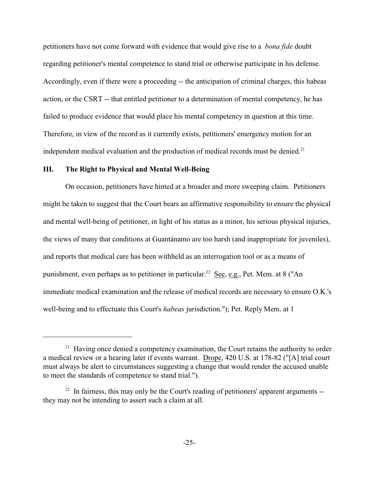petitioners have not come forward with evidence that would give rise to a *bona fide* doubt regarding petitioner's mental competence to stand trial or otherwise participate in his defense. Accordingly, even if there were a proceeding -- the anticipation of criminal charges, this habeas action, or the CSRT -- that entitled petitioner to a determination of mental competency, he has failed to produce evidence that would place his mental competency in question at this time. Therefore, in view of the record as it currently exists, petitioners' emergency motion for an independent medical evaluation and the production of medical records must be denied.<sup>21</sup>

#### **III. The Right to Physical and Mental Well-Being**

On occasion, petitioners have hinted at a broader and more sweeping claim. Petitioners might be taken to suggest that the Court bears an affirmative responsibility to ensure the physical and mental well-being of petitioner, in light of his status as a minor, his serious physical injuries, the views of many that conditions at Guantánamo are too harsh (and inappropriate for juveniles), and reports that medical care has been withheld as an interrogation tool or as a means of punishment, even perhaps as to petitioner in particular.<sup>22</sup> See, e.g., Pet. Mem. at 8 ("An immediate medical examination and the release of medical records are necessary to ensure O.K.'s well-being and to effectuate this Court's *habeas* jurisdiction."); Pet. Reply Mem. at 1

 $21$  Having once denied a competency examination, the Court retains the authority to order a medical review or a hearing later if events warrant. Drope, 420 U.S. at 178-82 ("[A] trial court must always be alert to circumstances suggesting a change that would render the accused unable to meet the standards of competence to stand trial.").

 $122$  In fairness, this may only be the Court's reading of petitioners' apparent arguments -they may not be intending to assert such a claim at all.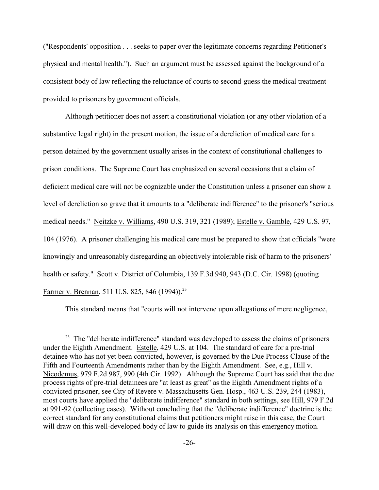("Respondents' opposition . . . seeks to paper over the legitimate concerns regarding Petitioner's physical and mental health."). Such an argument must be assessed against the background of a consistent body of law reflecting the reluctance of courts to second-guess the medical treatment provided to prisoners by government officials.

Although petitioner does not assert a constitutional violation (or any other violation of a substantive legal right) in the present motion, the issue of a dereliction of medical care for a person detained by the government usually arises in the context of constitutional challenges to prison conditions. The Supreme Court has emphasized on several occasions that a claim of deficient medical care will not be cognizable under the Constitution unless a prisoner can show a level of dereliction so grave that it amounts to a "deliberate indifference" to the prisoner's "serious medical needs." Neitzke v. Williams, 490 U.S. 319, 321 (1989); Estelle v. Gamble, 429 U.S. 97, 104 (1976). A prisoner challenging his medical care must be prepared to show that officials "were knowingly and unreasonably disregarding an objectively intolerable risk of harm to the prisoners' health or safety." Scott v. District of Columbia, 139 F.3d 940, 943 (D.C. Cir. 1998) (quoting Farmer v. Brennan, 511 U.S. 825, 846 (1994)).<sup>23</sup>

This standard means that "courts will not intervene upon allegations of mere negligence,

 $23$  The "deliberate indifference" standard was developed to assess the claims of prisoners under the Eighth Amendment. Estelle, 429 U.S. at 104. The standard of care for a pre-trial detainee who has not yet been convicted, however, is governed by the Due Process Clause of the Fifth and Fourteenth Amendments rather than by the Eighth Amendment. See, e.g., Hill v. Nicodemus, 979 F.2d 987, 990 (4th Cir. 1992). Although the Supreme Court has said that the due process rights of pre-trial detainees are "at least as great" as the Eighth Amendment rights of a convicted prisoner, see City of Revere v. Massachusetts Gen. Hosp., 463 U.S. 239, 244 (1983), most courts have applied the "deliberate indifference" standard in both settings, see Hill, 979 F.2d at 991-92 (collecting cases). Without concluding that the "deliberate indifference" doctrine is the correct standard for any constitutional claims that petitioners might raise in this case, the Court will draw on this well-developed body of law to guide its analysis on this emergency motion.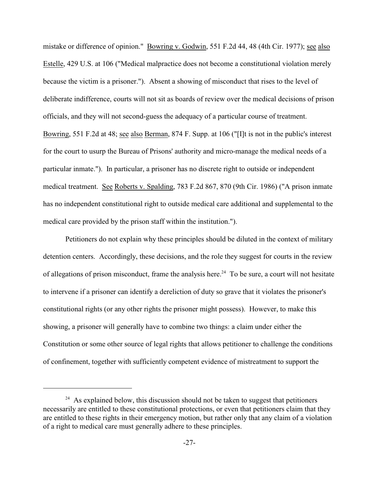mistake or difference of opinion." Bowring v. Godwin, 551 F.2d 44, 48 (4th Cir. 1977); see also Estelle, 429 U.S. at 106 ("Medical malpractice does not become a constitutional violation merely because the victim is a prisoner."). Absent a showing of misconduct that rises to the level of deliberate indifference, courts will not sit as boards of review over the medical decisions of prison officials, and they will not second-guess the adequacy of a particular course of treatment. Bowring, 551 F.2d at 48; see also Berman, 874 F. Supp. at 106 ("[I]t is not in the public's interest for the court to usurp the Bureau of Prisons' authority and micro-manage the medical needs of a particular inmate."). In particular, a prisoner has no discrete right to outside or independent medical treatment. See Roberts v. Spalding, 783 F.2d 867, 870 (9th Cir. 1986) ("A prison inmate has no independent constitutional right to outside medical care additional and supplemental to the medical care provided by the prison staff within the institution.").

Petitioners do not explain why these principles should be diluted in the context of military detention centers. Accordingly, these decisions, and the role they suggest for courts in the review of allegations of prison misconduct, frame the analysis here.<sup>24</sup> To be sure, a court will not hesitate to intervene if a prisoner can identify a dereliction of duty so grave that it violates the prisoner's constitutional rights (or any other rights the prisoner might possess). However, to make this showing, a prisoner will generally have to combine two things: a claim under either the Constitution or some other source of legal rights that allows petitioner to challenge the conditions of confinement, together with sufficiently competent evidence of mistreatment to support the

 $24$  As explained below, this discussion should not be taken to suggest that petitioners necessarily are entitled to these constitutional protections, or even that petitioners claim that they are entitled to these rights in their emergency motion, but rather only that any claim of a violation of a right to medical care must generally adhere to these principles.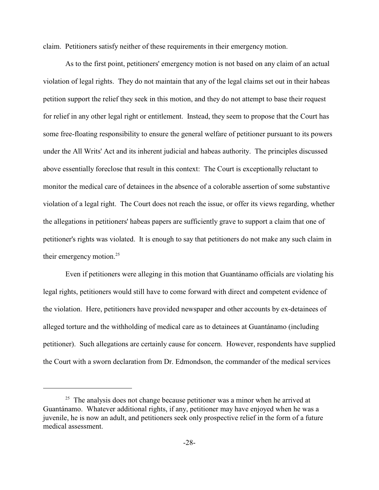claim. Petitioners satisfy neither of these requirements in their emergency motion.

As to the first point, petitioners' emergency motion is not based on any claim of an actual violation of legal rights. They do not maintain that any of the legal claims set out in their habeas petition support the relief they seek in this motion, and they do not attempt to base their request for relief in any other legal right or entitlement. Instead, they seem to propose that the Court has some free-floating responsibility to ensure the general welfare of petitioner pursuant to its powers under the All Writs' Act and its inherent judicial and habeas authority. The principles discussed above essentially foreclose that result in this context: The Court is exceptionally reluctant to monitor the medical care of detainees in the absence of a colorable assertion of some substantive violation of a legal right. The Court does not reach the issue, or offer its views regarding, whether the allegations in petitioners' habeas papers are sufficiently grave to support a claim that one of petitioner's rights was violated. It is enough to say that petitioners do not make any such claim in their emergency motion.<sup>25</sup>

Even if petitioners were alleging in this motion that Guantánamo officials are violating his legal rights, petitioners would still have to come forward with direct and competent evidence of the violation. Here, petitioners have provided newspaper and other accounts by ex-detainees of alleged torture and the withholding of medical care as to detainees at Guantánamo (including petitioner). Such allegations are certainly cause for concern. However, respondents have supplied the Court with a sworn declaration from Dr. Edmondson, the commander of the medical services

 $25$  The analysis does not change because petitioner was a minor when he arrived at Guantánamo. Whatever additional rights, if any, petitioner may have enjoyed when he was a juvenile, he is now an adult, and petitioners seek only prospective relief in the form of a future medical assessment.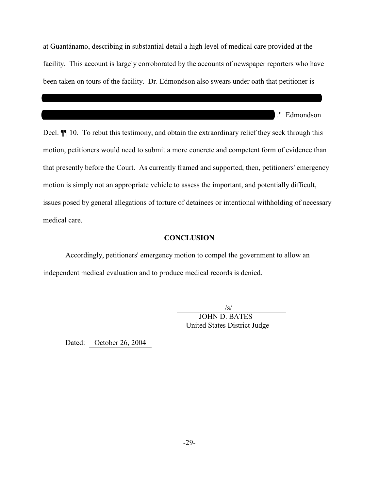at Guantánamo, describing in substantial detail a high level of medical care provided at the facility. This account is largely corroborated by the accounts of newspaper reporters who have been taken on tours of the facility. Dr. Edmondson also swears under oath that petitioner is

 $\mathcal{L}_\mathcal{L} = \{ \mathcal{L}_\mathcal{L} = \{ \mathcal{L}_\mathcal{L} = \{ \mathcal{L}_\mathcal{L} = \{ \mathcal{L}_\mathcal{L} = \{ \mathcal{L}_\mathcal{L} = \{ \mathcal{L}_\mathcal{L} = \{ \mathcal{L}_\mathcal{L} = \{ \mathcal{L}_\mathcal{L} = \{ \mathcal{L}_\mathcal{L} = \{ \mathcal{L}_\mathcal{L} = \{ \mathcal{L}_\mathcal{L} = \{ \mathcal{L}_\mathcal{L} = \{ \mathcal{L}_\mathcal{L} = \{ \mathcal{L}_\mathcal{$ 

\_\_\_\_\_\_\_\_\_\_\_\_\_\_\_\_\_\_\_\_\_\_\_\_\_\_\_\_\_\_\_\_\_\_\_\_\_\_\_\_\_\_\_\_\_\_\_\_\_\_\_\_\_\_\_\_\_\_\_\_\_\_ ." Edmondson

Decl.  $\P$  10. To rebut this testimony, and obtain the extraordinary relief they seek through this motion, petitioners would need to submit a more concrete and competent form of evidence than that presently before the Court. As currently framed and supported, then, petitioners' emergency motion is simply not an appropriate vehicle to assess the important, and potentially difficult, issues posed by general allegations of torture of detainees or intentional withholding of necessary medical care.

### **CONCLUSION**

Accordingly, petitioners' emergency motion to compel the government to allow an independent medical evaluation and to produce medical records is denied.

 $\sqrt{s/2}$ 

 JOHN D. BATES United States District Judge

Dated: October 26, 2004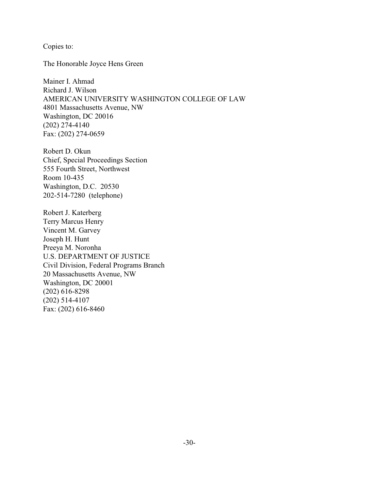Copies to:

The Honorable Joyce Hens Green

Mainer I. Ahmad Richard J. Wilson AMERICAN UNIVERSITY WASHINGTON COLLEGE OF LAW 4801 Massachusetts Avenue, NW Washington, DC 20016 (202) 274-4140 Fax: (202) 274-0659

Robert D. Okun Chief, Special Proceedings Section 555 Fourth Street, Northwest Room 10-435 Washington, D.C. 20530 202-514-7280 (telephone)

Robert J. Katerberg Terry Marcus Henry Vincent M. Garvey Joseph H. Hunt Preeya M. Noronha U.S. DEPARTMENT OF JUSTICE Civil Division, Federal Programs Branch 20 Massachusetts Avenue, NW Washington, DC 20001 (202) 616-8298 (202) 514-4107 Fax: (202) 616-8460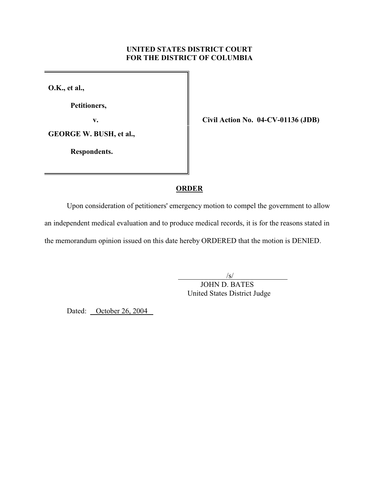# **UNITED STATES DISTRICT COURT FOR THE DISTRICT OF COLUMBIA**

**O.K., et al.,**

**Petitioners,**

**GEORGE W. BUSH, et al.,** 

 **Respondents.**

**v. Civil Action No. 04-CV-01136 (JDB)**

### **ORDER**

Upon consideration of petitioners' emergency motion to compel the government to allow an independent medical evaluation and to produce medical records, it is for the reasons stated in the memorandum opinion issued on this date hereby ORDERED that the motion is DENIED.

 $\sqrt{s}$ /s/

 JOHN D. BATES United States District Judge

Dated: October 26, 2004